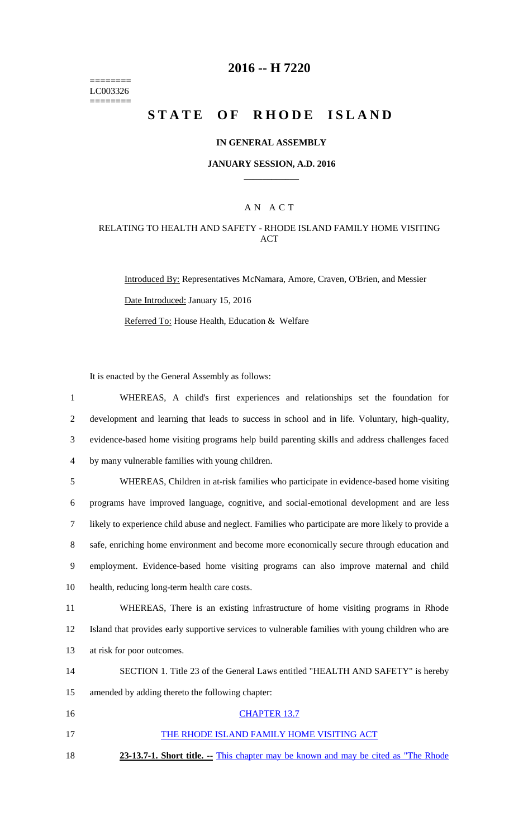======== LC003326  $=$ 

# **2016 -- H 7220**

# STATE OF RHODE ISLAND

### **IN GENERAL ASSEMBLY**

#### **JANUARY SESSION, A.D. 2016 \_\_\_\_\_\_\_\_\_\_\_\_**

### A N A C T

### RELATING TO HEALTH AND SAFETY - RHODE ISLAND FAMILY HOME VISITING ACT

Introduced By: Representatives McNamara, Amore, Craven, O'Brien, and Messier Date Introduced: January 15, 2016 Referred To: House Health, Education & Welfare

It is enacted by the General Assembly as follows:

| $\mathbf{1}$   | WHEREAS, A child's first experiences and relationships set the foundation for                       |
|----------------|-----------------------------------------------------------------------------------------------------|
| $\overline{2}$ | development and learning that leads to success in school and in life. Voluntary, high-quality,      |
| 3              | evidence-based home visiting programs help build parenting skills and address challenges faced      |
| $\overline{4}$ | by many vulnerable families with young children.                                                    |
| 5              | WHEREAS, Children in at-risk families who participate in evidence-based home visiting               |
| 6              | programs have improved language, cognitive, and social-emotional development and are less           |
| 7              | likely to experience child abuse and neglect. Families who participate are more likely to provide a |
| 8              | safe, enriching home environment and become more economically secure through education and          |
| 9              | employment. Evidence-based home visiting programs can also improve maternal and child               |
| 10             | health, reducing long-term health care costs.                                                       |
| 11             | WHEREAS, There is an existing infrastructure of home visiting programs in Rhode                     |
| 12             | Island that provides early supportive services to vulnerable families with young children who are   |
| 13             | at risk for poor outcomes.                                                                          |
| 14             | SECTION 1. Title 23 of the General Laws entitled "HEALTH AND SAFETY" is hereby                      |
| 15             | amended by adding thereto the following chapter:                                                    |
| 16             | <b>CHAPTER 13.7</b>                                                                                 |
| 17             | THE RHODE ISLAND FAMILY HOME VISITING ACT                                                           |
| 18             | 23-13.7-1. Short title. -- This chapter may be known and may be cited as "The Rhode                 |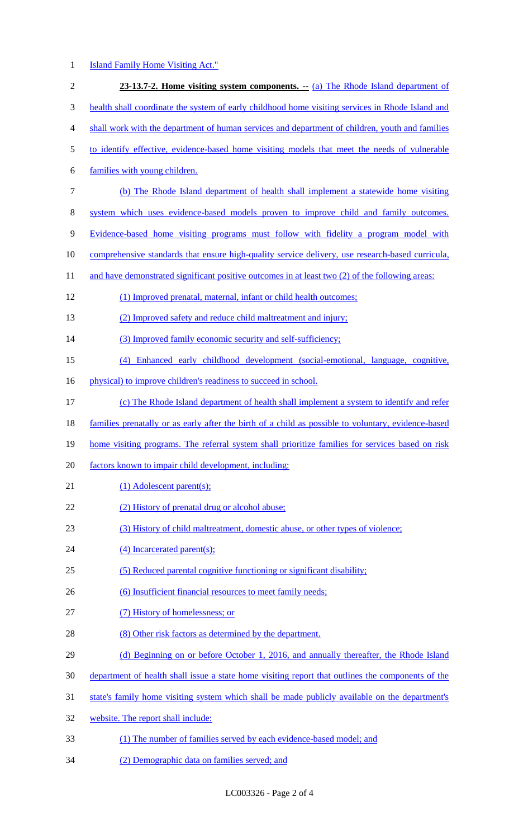## 1 **Island Family Home Visiting Act."**

| $\sqrt{2}$ | 23-13.7-2. Home visiting system components. -- (a) The Rhode Island department of                   |
|------------|-----------------------------------------------------------------------------------------------------|
| 3          | health shall coordinate the system of early childhood home visiting services in Rhode Island and    |
| 4          | shall work with the department of human services and department of children, youth and families     |
| 5          | to identify effective, evidence-based home visiting models that meet the needs of vulnerable        |
| 6          | families with young children.                                                                       |
| $\tau$     | (b) The Rhode Island department of health shall implement a statewide home visiting                 |
| $8\,$      | system which uses evidence-based models proven to improve child and family outcomes.                |
| 9          | Evidence-based home visiting programs must follow with fidelity a program model with                |
| 10         | comprehensive standards that ensure high-quality service delivery, use research-based curricula,    |
| 11         | and have demonstrated significant positive outcomes in at least two (2) of the following areas:     |
| 12         | (1) Improved prenatal, maternal, infant or child health outcomes;                                   |
| 13         | (2) Improved safety and reduce child maltreatment and injury;                                       |
| 14         | (3) Improved family economic security and self-sufficiency;                                         |
| 15         | (4) Enhanced early childhood development (social-emotional, language, cognitive,                    |
| 16         | physical) to improve children's readiness to succeed in school.                                     |
| 17         | (c) The Rhode Island department of health shall implement a system to identify and refer            |
| 18         | families prenatally or as early after the birth of a child as possible to voluntary, evidence-based |
| 19         | home visiting programs. The referral system shall prioritize families for services based on risk    |
| 20         | factors known to impair child development, including:                                               |
| 21         | $(1)$ Adolescent parent $(s)$ ;                                                                     |
| 22         | (2) History of prenatal drug or alcohol abuse;                                                      |
| 23         | (3) History of child maltreatment, domestic abuse, or other types of violence;                      |
| 24         | (4) Incarcerated parent(s);                                                                         |
| 25         | (5) Reduced parental cognitive functioning or significant disability;                               |
| 26         | (6) Insufficient financial resources to meet family needs;                                          |
| 27         | (7) History of homelessness; or                                                                     |
| 28         | (8) Other risk factors as determined by the department.                                             |
| 29         | (d) Beginning on or before October 1, 2016, and annually thereafter, the Rhode Island               |
| 30         | department of health shall issue a state home visiting report that outlines the components of the   |
| 31         | state's family home visiting system which shall be made publicly available on the department's      |
| 32         | website. The report shall include:                                                                  |
| 33         | (1) The number of families served by each evidence-based model; and                                 |
|            |                                                                                                     |

34 (2) Demographic data on families served; and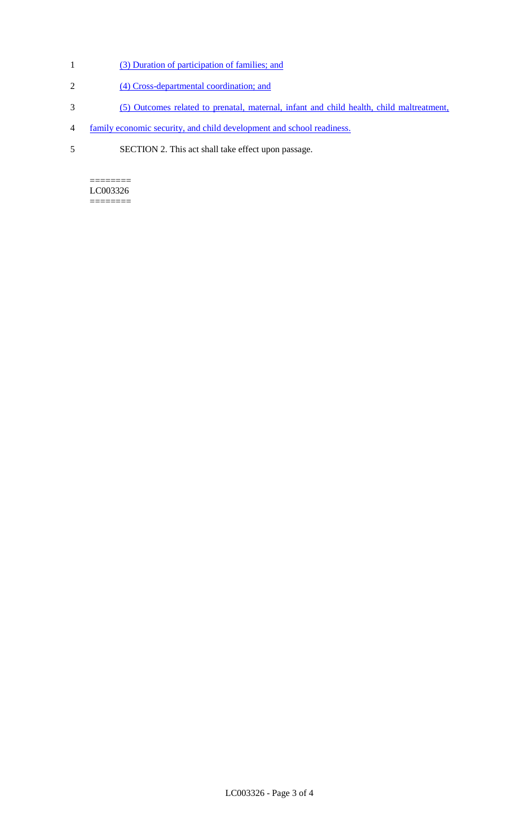- 1 (3) Duration of participation of families; and
- 2 (4) Cross-departmental coordination; and
- 3 (5) Outcomes related to prenatal, maternal, infant and child health, child maltreatment,
- 4 family economic security, and child development and school readiness.
- 5 SECTION 2. This act shall take effect upon passage.

 $=$ LC003326 ========